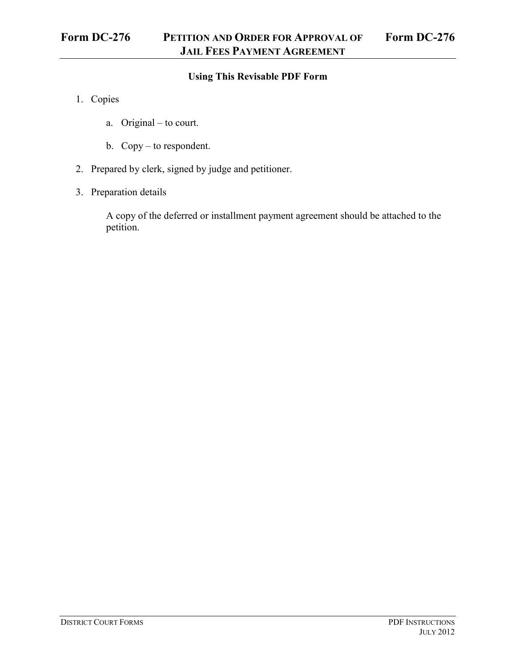## **Using This Revisable PDF Form**

- 1. Copies
	- a. Original to court.
	- b. Copy to respondent.
- 2. Prepared by clerk, signed by judge and petitioner.
- 3. Preparation details

A copy of the deferred or installment payment agreement should be attached to the petition.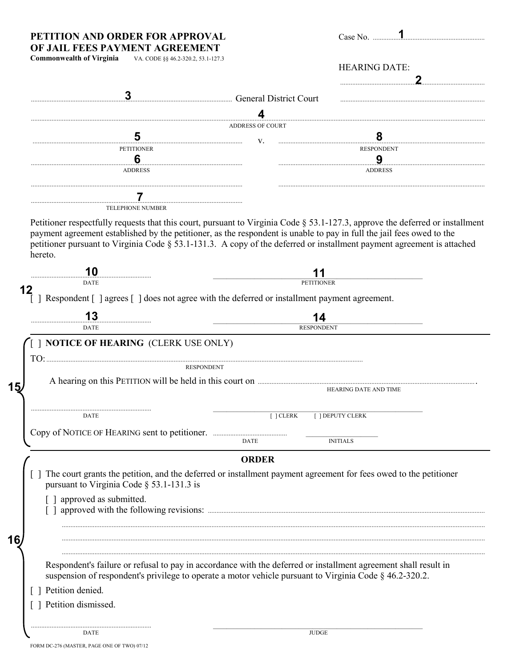### PETITION AND ORDER FOR APPROVAL OF JAIL FEES PAYMENT AGREEMENT

| Case No. |  |
|----------|--|

| <b>Commonwealth of Virginia</b> | VA. CODE §§ 46.2-320.2, 53.1-127 |
|---------------------------------|----------------------------------|

|                                                                                                                                                                                                                                                                                                                                                                                             |                         | <b>HEARING DATE:</b>       |
|---------------------------------------------------------------------------------------------------------------------------------------------------------------------------------------------------------------------------------------------------------------------------------------------------------------------------------------------------------------------------------------------|-------------------------|----------------------------|
| General District Court                                                                                                                                                                                                                                                                                                                                                                      |                         |                            |
|                                                                                                                                                                                                                                                                                                                                                                                             |                         |                            |
|                                                                                                                                                                                                                                                                                                                                                                                             | <b>ADDRESS OF COURT</b> |                            |
| 5                                                                                                                                                                                                                                                                                                                                                                                           | V.                      | 8                          |
| <b>PETITIONER</b>                                                                                                                                                                                                                                                                                                                                                                           |                         | <b>RESPONDENT</b>          |
| 6<br><b>ADDRESS</b>                                                                                                                                                                                                                                                                                                                                                                         |                         | <u>9</u><br><b>ADDRESS</b> |
|                                                                                                                                                                                                                                                                                                                                                                                             |                         |                            |
| <b>TELEPHONE NUMBER</b>                                                                                                                                                                                                                                                                                                                                                                     |                         |                            |
| Petitioner respectfully requests that this court, pursuant to Virginia Code § 53.1-127.3, approve the deferred or installment<br>payment agreement established by the petitioner, as the respondent is unable to pay in full the jail fees owed to the<br>petitioner pursuant to Virginia Code § 53.1-131.3. A copy of the deferred or installment payment agreement is attached<br>hereto. |                         |                            |
| 10                                                                                                                                                                                                                                                                                                                                                                                          |                         |                            |
| <b>DATE</b>                                                                                                                                                                                                                                                                                                                                                                                 |                         | <b>PETITIONER</b>          |
| Respondent [] agrees [] does not agree with the deferred or installment payment agreement.                                                                                                                                                                                                                                                                                                  |                         |                            |
|                                                                                                                                                                                                                                                                                                                                                                                             |                         | 14                         |
| <b>DATE</b>                                                                                                                                                                                                                                                                                                                                                                                 |                         | <b>RESPONDENT</b>          |
| <b>I NOTICE OF HEARING (CLERK USE ONLY)</b><br>$TO:$                                                                                                                                                                                                                                                                                                                                        |                         |                            |
| <b>RESPONDENT</b>                                                                                                                                                                                                                                                                                                                                                                           |                         |                            |
|                                                                                                                                                                                                                                                                                                                                                                                             |                         |                            |
|                                                                                                                                                                                                                                                                                                                                                                                             |                         | HEARING DATE AND TIME      |
| <b>DATE</b>                                                                                                                                                                                                                                                                                                                                                                                 | [ ] CLERK               | [ ] DEPUTY CLERK           |
|                                                                                                                                                                                                                                                                                                                                                                                             |                         |                            |
|                                                                                                                                                                                                                                                                                                                                                                                             | <b>DATE</b>             | <b>INITIALS</b>            |
|                                                                                                                                                                                                                                                                                                                                                                                             |                         |                            |
|                                                                                                                                                                                                                                                                                                                                                                                             | <b>ORDER</b>            |                            |
| The court grants the petition, and the deferred or installment payment agreement for fees owed to the petitioner<br>pursuant to Virginia Code § 53.1-131.3 is                                                                                                                                                                                                                               |                         |                            |
| [ ] approved as submitted.                                                                                                                                                                                                                                                                                                                                                                  |                         |                            |
|                                                                                                                                                                                                                                                                                                                                                                                             |                         |                            |
|                                                                                                                                                                                                                                                                                                                                                                                             |                         |                            |
|                                                                                                                                                                                                                                                                                                                                                                                             |                         |                            |
|                                                                                                                                                                                                                                                                                                                                                                                             |                         |                            |

suspension of respondent's privilege to operate a motor vehicle pursuant to Virginia Code § 46.2-320.2.

[ ] Petition denied.

15

16

[ ] Petition dismissed.

 $\mathop{\mathrm{DATE}}$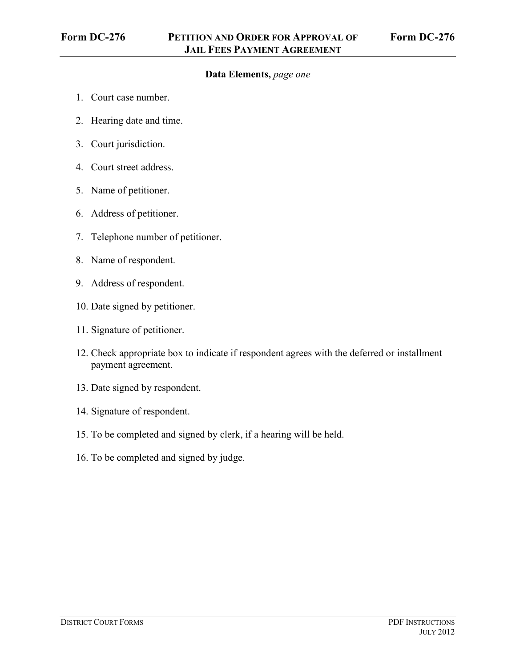# **Data Elements,** *page one*

- 1. Court case number.
- 2. Hearing date and time.
- 3. Court jurisdiction.
- 4. Court street address.
- 5. Name of petitioner.
- 6. Address of petitioner.
- 7. Telephone number of petitioner.
- 8. Name of respondent.
- 9. Address of respondent.
- 10. Date signed by petitioner.
- 11. Signature of petitioner.
- 12. Check appropriate box to indicate if respondent agrees with the deferred or installment payment agreement.
- 13. Date signed by respondent.
- 14. Signature of respondent.
- 15. To be completed and signed by clerk, if a hearing will be held.
- 16. To be completed and signed by judge.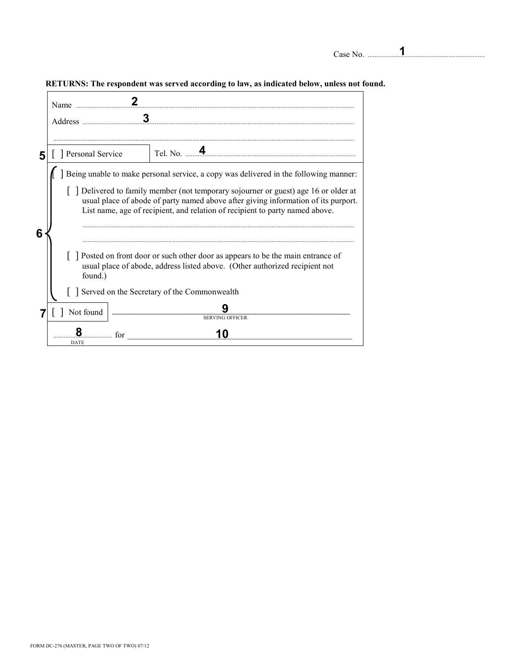| Case No. |  |  |  |  |  |
|----------|--|--|--|--|--|
|          |  |  |  |  |  |

**1**

Case No. ....................................................................

| 5 | Personal Service                                                                                                                                                                                                                                                                                                                                        |
|---|---------------------------------------------------------------------------------------------------------------------------------------------------------------------------------------------------------------------------------------------------------------------------------------------------------------------------------------------------------|
|   | Being unable to make personal service, a copy was delivered in the following manner:<br>$\lceil$ Delivered to family member (not temporary sojourner or guest) age 16 or older at<br>usual place of abode of party named above after giving information of its purport.<br>List name, age of recipient, and relation of recipient to party named above. |
| 6 | Posted on front door or such other door as appears to be the main entrance of<br>usual place of abode, address listed above. (Other authorized recipient not<br>found.)                                                                                                                                                                                 |
|   | Served on the Secretary of the Commonwealth                                                                                                                                                                                                                                                                                                             |
|   | Not found<br><b>SERVING OFFICER</b>                                                                                                                                                                                                                                                                                                                     |
|   | 10<br>for<br><b>DATE</b>                                                                                                                                                                                                                                                                                                                                |

#### **RETURNS: The respondent was served according to law, as indicated below, unless not found.**